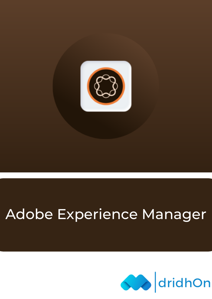

# Adobe Experience Manager

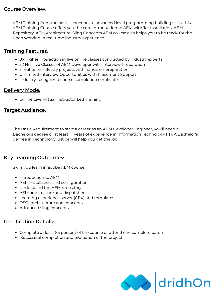## Course Overview:

AEM Training from the basics concepts to advanced level programming building skills, this AEM Training Course offers you the core Introduction to AEM with Jar Installation, AEM Repository, AEM Architecture, Sling Concepts AEM course also helps you to be ready for the upon working in real-time industry experience.

## **Training Features:**

- 8X higher interaction in live online classes conducted by industry experts
- 32 Hrs. live Classes of AEM Developer with Interview Preparation
- 3 real-time industry projects with hands-on preparation
- Unlimited Interview Opportunities with Placement Support
- Industry-recognized course completion certificate

## Delivery Mode:

Online Live Virtual Instructor Led Training

## Target Audiance:

The Basic Requirement to start a career as an AEM Developer Engineer, you'll need a Bachelor's degree or at least 1+ years of experience in Information Technology (IT). A Bachelor's degree in Technology justice will help you get the job.

## Key Learning Outcomes:

Skills you learn in adobe AEM course,

- Introduction to AFM
- AEM installation and configuration
- Understand the AEM repository
- AEM architecture and dispatcher
- Learning experience server (CRX) and templates
- OSGI-architecture and concepts
- Advanced sling concepts

## Certification Details:

- Complete at least 85 percent of the course or attend one complete batch
- Successful completion and evaluation of the project